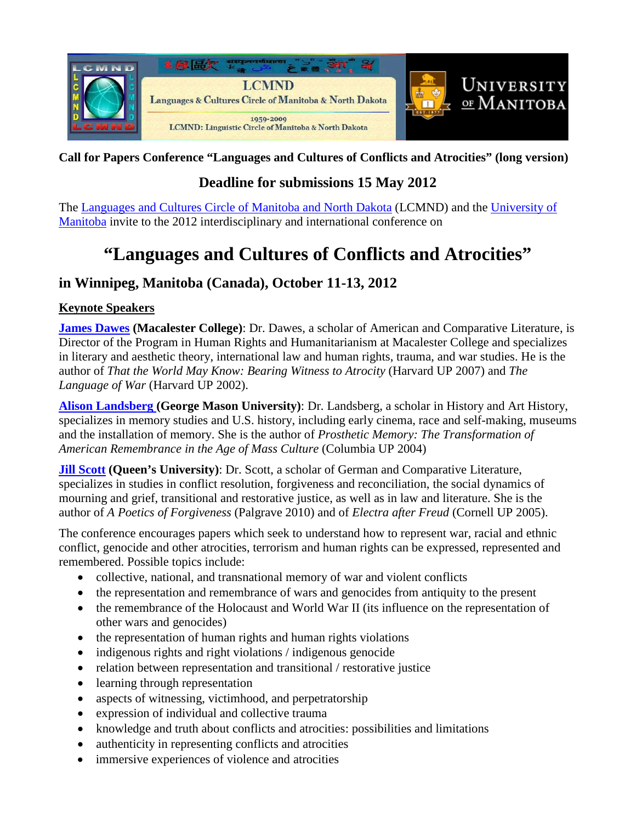

#### **Call for Papers Conference "Languages and Cultures of Conflicts and Atrocities" (long version)**

## **Deadline for submissions 15 May 2012**

The [Languages and Cultures Circle of Manitoba and North Dakota](http://www.umanitoba.ca/outreach/lcmnd/index.shtml) (LCMND) and the [University of](http://www.umanitoba.ca/)  [Manitoba](http://www.umanitoba.ca/) invite to the 2012 interdisciplinary and international conference on

# **"Languages and Cultures of Conflicts and Atrocities"**

### **in Winnipeg, Manitoba (Canada), October 11-13, 2012**

#### **Keynote Speakers**

**[James Dawes](http://www.macalester.edu/english/facultystaff/jamesdawes/) (Macalester College)**: Dr. Dawes, a scholar of American and Comparative Literature, is Director of the Program in Human Rights and Humanitarianism at Macalester College and specializes in literary and aesthetic theory, international law and human rights, trauma, and war studies. He is the author of *That the World May Know: Bearing Witness to Atrocity* (Harvard UP 2007) and *The Language of War* (Harvard UP 2002).

**[Alison Landsberg \(](http://historyarthistory.gmu.edu/people/alandsb1)George Mason University)**: Dr. Landsberg, a scholar in History and Art History, specializes in memory studies and U.S. history, including early cinema, race and self-making, museums and the installation of memory. She is the author of *Prosthetic Memory: The Transformation of American Remembrance in the Age of Mass Culture* (Columbia UP 2004)

**[Jill Scott](http://www.queensu.ca/german/department/facultyandstaff/scott.html) (Queen's University)**: Dr. Scott, a scholar of German and Comparative Literature, specializes in studies in conflict resolution, forgiveness and reconciliation, the social dynamics of mourning and grief, transitional and restorative justice, as well as in law and literature. She is the author of *A Poetics of Forgiveness* (Palgrave 2010) and of *Electra after Freud* (Cornell UP 2005).

The conference encourages papers which seek to understand how to represent war, racial and ethnic conflict, genocide and other atrocities, terrorism and human rights can be expressed, represented and remembered. Possible topics include:

- collective, national, and transnational memory of war and violent conflicts
- the representation and remembrance of wars and genocides from antiquity to the present
- the remembrance of the Holocaust and World War II (its influence on the representation of other wars and genocides)
- the representation of human rights and human rights violations
- indigenous rights and right violations / indigenous genocide
- relation between representation and transitional / restorative justice
- learning through representation
- aspects of witnessing, victimhood, and perpetratorship
- expression of individual and collective trauma
- knowledge and truth about conflicts and atrocities: possibilities and limitations
- authenticity in representing conflicts and atrocities
- immersive experiences of violence and atrocities